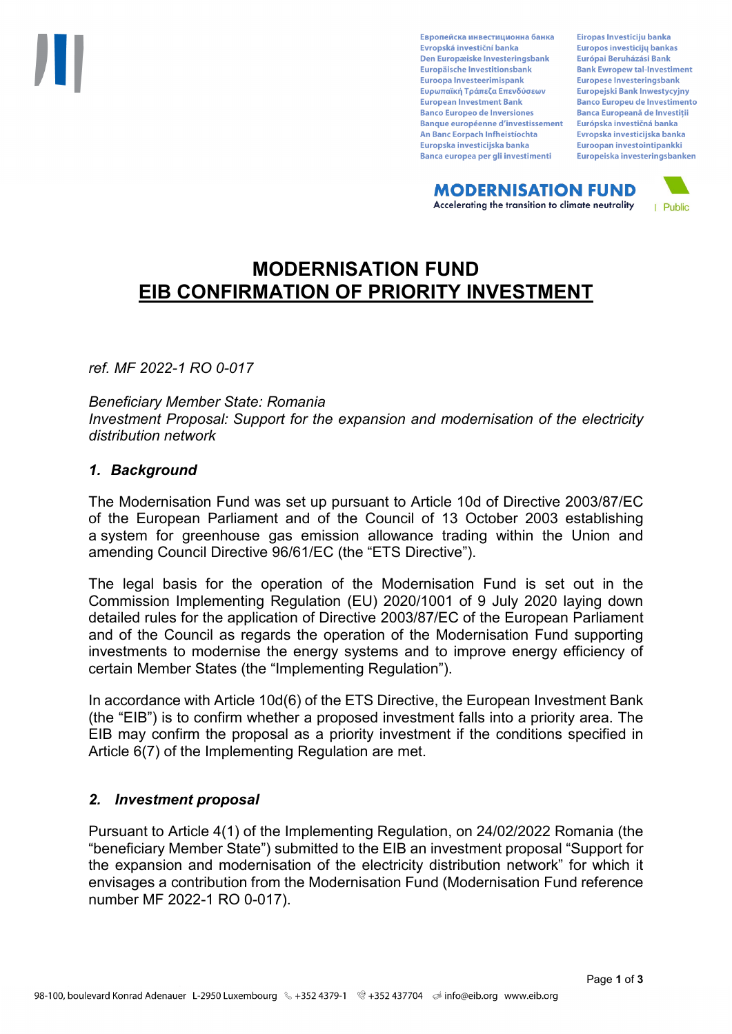Европейска инвестиционна банка Evropská investiční banka Den Europæiske Investeringsbank Europäische Investitionsbank Euroopa Investeerimispank Ευρωπαϊκή Τράπεζα Επενδύσεων **European Investment Bank Banco Europeo de Inversiones Banque européenne d'investissement** An Banc Eorpach Infheistíochta Europska investicijska banka Banca europea per gli investimenti

Eiropas Investīciju banka Europos investicijų bankas Európai Beruházási Bank **Bank Ewropew tal-Investiment** Europese Investeringsbank **Europeiski Bank Inwestycviny Banco Europeu de Investimento Banca Europeană de Investiții** Európska investičná banka Evropska investicijska banka Euroopan investointipankki Europeiska investeringsbanken

**MODERNISATION FUND** Accelerating the transition to climate neutrality



# **MODERNISATION FUND EIB CONFIRMATION OF PRIORITY INVESTMENT**

*ref. MF 2022-1 RO 0-017*

*Beneficiary Member State: Romania Investment Proposal: Support for the expansion and modernisation of the electricity distribution network*

### *1. Background*

The Modernisation Fund was set up pursuant to Article 10d of Directive 2003/87/EC of the European Parliament and of the Council of 13 October 2003 establishing a system for greenhouse gas emission allowance trading within the Union and amending Council Directive 96/61/EC (the "ETS Directive").

The legal basis for the operation of the Modernisation Fund is set out in the Commission Implementing Regulation (EU) 2020/1001 of 9 July 2020 laying down detailed rules for the application of Directive 2003/87/EC of the European Parliament and of the Council as regards the operation of the Modernisation Fund supporting investments to modernise the energy systems and to improve energy efficiency of certain Member States (the "Implementing Regulation").

In accordance with Article 10d(6) of the ETS Directive, the European Investment Bank (the "EIB") is to confirm whether a proposed investment falls into a priority area. The EIB may confirm the proposal as a priority investment if the conditions specified in Article 6(7) of the Implementing Regulation are met.

### *2. Investment proposal*

Pursuant to Article 4(1) of the Implementing Regulation, on 24/02/2022 Romania (the "beneficiary Member State") submitted to the EIB an investment proposal "Support for the expansion and modernisation of the electricity distribution network" for which it envisages a contribution from the Modernisation Fund (Modernisation Fund reference number MF 2022-1 RO 0-017).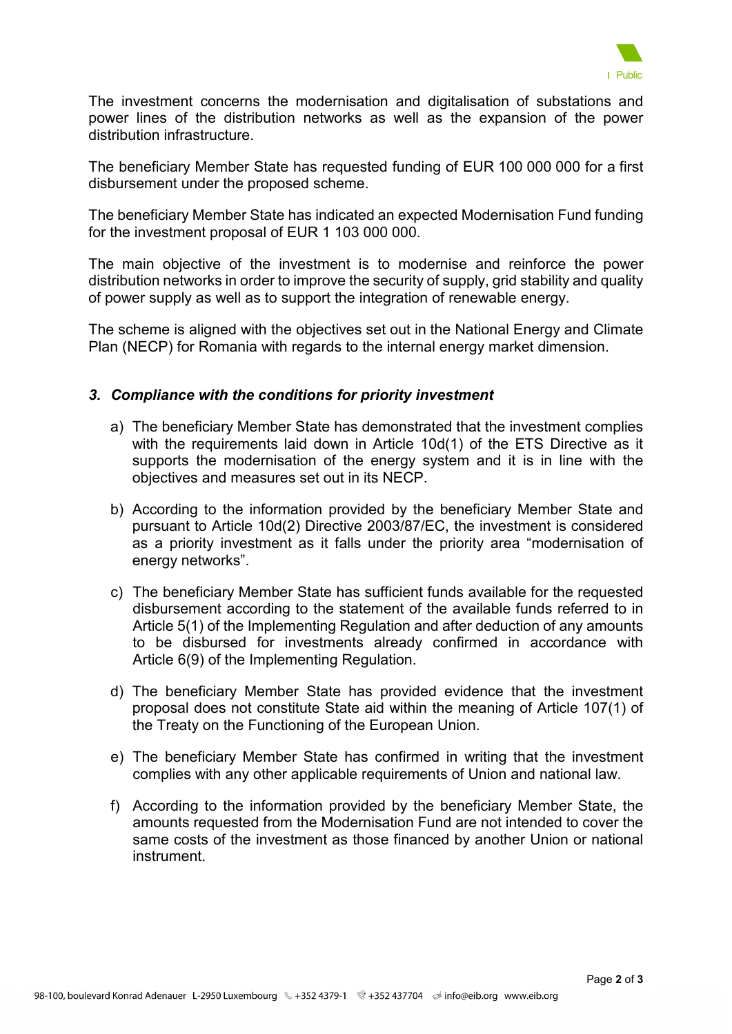

The investment concerns the modernisation and digitalisation of substations and power lines of the distribution networks as well as the expansion of the power distribution infrastructure.

The beneficiary Member State has requested funding of EUR 100 000 000 for a first disbursement under the proposed scheme.

The beneficiary Member State has indicated an expected Modernisation Fund funding for the investment proposal of EUR 1 103 000 000.

The main objective of the investment is to modernise and reinforce the power distribution networks in order to improve the security of supply, grid stability and quality of power supply as well as to support the integration of renewable energy.

The scheme is aligned with the objectives set out in the National Energy and Climate Plan (NECP) for Romania with regards to the internal energy market dimension.

### *3. Compliance with the conditions for priority investment*

- a) The beneficiary Member State has demonstrated that the investment complies with the requirements laid down in Article 10d(1) of the ETS Directive as it supports the modernisation of the energy system and it is in line with the objectives and measures set out in its NECP.
- b) According to the information provided by the beneficiary Member State and pursuant to Article 10d(2) Directive 2003/87/EC, the investment is considered as a priority investment as it falls under the priority area "modernisation of energy networks".
- c) The beneficiary Member State has sufficient funds available for the requested disbursement according to the statement of the available funds referred to in Article 5(1) of the Implementing Regulation and after deduction of any amounts to be disbursed for investments already confirmed in accordance with Article 6(9) of the Implementing Regulation.
- d) The beneficiary Member State has provided evidence that the investment proposal does not constitute State aid within the meaning of Article 107(1) of the Treaty on the Functioning of the European Union.
- e) The beneficiary Member State has confirmed in writing that the investment complies with any other applicable requirements of Union and national law.
- f) According to the information provided by the beneficiary Member State, the amounts requested from the Modernisation Fund are not intended to cover the same costs of the investment as those financed by another Union or national instrument.